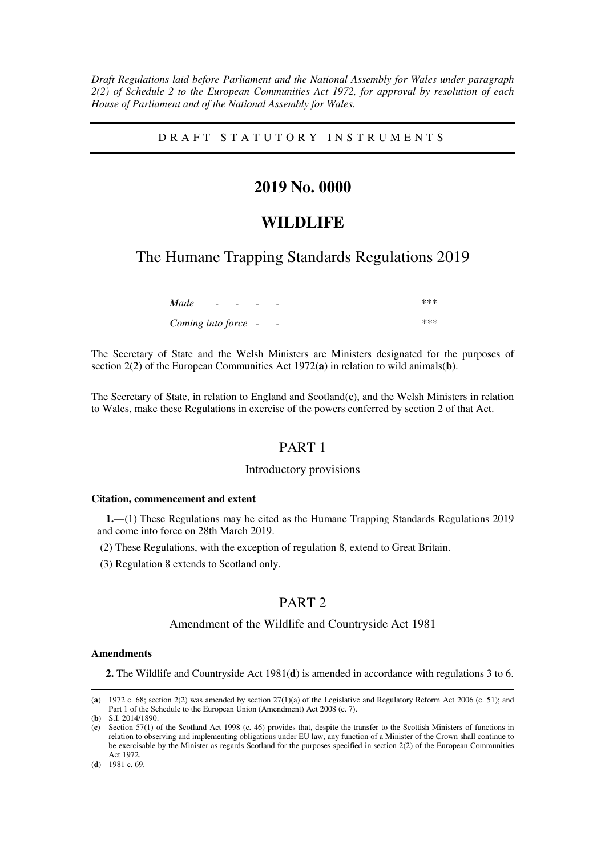*Draft Regulations laid before Parliament and the National Assembly for Wales under paragraph 2(2) of Schedule 2 to the European Communities Act 1972, for approval by resolution of each House of Parliament and of the National Assembly for Wales.* 

### D R A F T S T A T U T O R Y I N S T R U M E N T S

# **2019 No. 0000**

# **WILDLIFE**

# The Humane Trapping Standards Regulations 2019

| Made                | $\overline{\phantom{0}}$ | - |                          | $***$ |
|---------------------|--------------------------|---|--------------------------|-------|
| Coming into force - |                          |   | $\overline{\phantom{0}}$ | ***   |

The Secretary of State and the Welsh Ministers are Ministers designated for the purposes of section 2(2) of the European Communities Act 1972(**a**) in relation to wild animals(**b**).

The Secretary of State, in relation to England and Scotland(**c**), and the Welsh Ministers in relation to Wales, make these Regulations in exercise of the powers conferred by section 2 of that Act.

### PART 1

### Introductory provisions

#### **Citation, commencement and extent**

**1.**—(1) These Regulations may be cited as the Humane Trapping Standards Regulations 2019 and come into force on 28th March 2019.

- (2) These Regulations, with the exception of regulation 8, extend to Great Britain.
- (3) Regulation 8 extends to Scotland only.

# PART 2

### Amendment of the Wildlife and Countryside Act 1981

### **Amendments**

-

**2.** The Wildlife and Countryside Act 1981(**d**) is amended in accordance with regulations 3 to 6.

<sup>(</sup>**a**) 1972 c. 68; section 2(2) was amended by section 27(1)(a) of the Legislative and Regulatory Reform Act 2006 (c. 51); and Part 1 of the Schedule to the European Union (Amendment) Act 2008 (c. 7).

<sup>(</sup>**b**) S.I. 2014/1890.

<sup>(</sup>**c**) Section 57(1) of the Scotland Act 1998 (c. 46) provides that, despite the transfer to the Scottish Ministers of functions in relation to observing and implementing obligations under EU law, any function of a Minister of the Crown shall continue to be exercisable by the Minister as regards Scotland for the purposes specified in section 2(2) of the European Communities Act 1972.

<sup>(</sup>**d**) 1981 c. 69.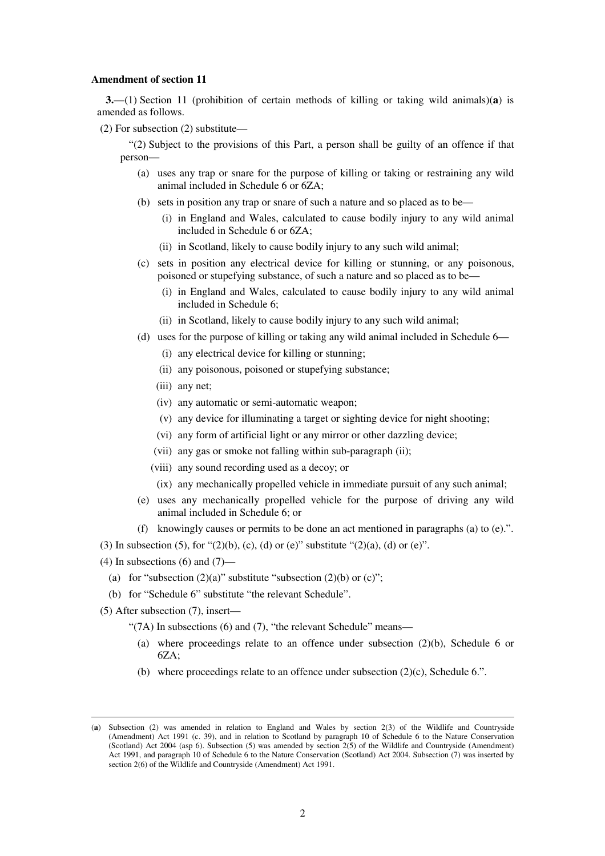#### **Amendment of section 11**

**3.**—(1) Section 11 (prohibition of certain methods of killing or taking wild animals)(**a**) is amended as follows.

(2) For subsection (2) substitute—

"(2) Subject to the provisions of this Part, a person shall be guilty of an offence if that person—

- (a) uses any trap or snare for the purpose of killing or taking or restraining any wild animal included in Schedule 6 or 6ZA;
- (b) sets in position any trap or snare of such a nature and so placed as to be—
	- (i) in England and Wales, calculated to cause bodily injury to any wild animal included in Schedule 6 or 6ZA;
	- (ii) in Scotland, likely to cause bodily injury to any such wild animal;
- (c) sets in position any electrical device for killing or stunning, or any poisonous, poisoned or stupefying substance, of such a nature and so placed as to be—
	- (i) in England and Wales, calculated to cause bodily injury to any wild animal included in Schedule 6;
	- (ii) in Scotland, likely to cause bodily injury to any such wild animal;
- (d) uses for the purpose of killing or taking any wild animal included in Schedule 6—
	- (i) any electrical device for killing or stunning;
	- (ii) any poisonous, poisoned or stupefying substance;
	- (iii) any net;
	- (iv) any automatic or semi-automatic weapon;
	- (v) any device for illuminating a target or sighting device for night shooting;
	- (vi) any form of artificial light or any mirror or other dazzling device;
	- (vii) any gas or smoke not falling within sub-paragraph (ii);
	- (viii) any sound recording used as a decoy; or
	- (ix) any mechanically propelled vehicle in immediate pursuit of any such animal;
- (e) uses any mechanically propelled vehicle for the purpose of driving any wild animal included in Schedule 6; or
- (f) knowingly causes or permits to be done an act mentioned in paragraphs (a) to (e).".
- (3) In subsection (5), for " $(2)(b)$ , (c), (d) or (e)" substitute " $(2)(a)$ , (d) or (e)".
- (4) In subsections  $(6)$  and  $(7)$ 
	- (a) for "subsection  $(2)(a)$ " substitute "subsection  $(2)(b)$  or  $(c)$ ";
	- (b) for "Schedule 6" substitute "the relevant Schedule".
- (5) After subsection (7), insert—

-

"(7A) In subsections (6) and (7), "the relevant Schedule" means—

- (a) where proceedings relate to an offence under subsection (2)(b), Schedule 6 or 6ZA;
- (b) where proceedings relate to an offence under subsection (2)(c), Schedule 6.".

<sup>(</sup>**a**) Subsection (2) was amended in relation to England and Wales by section 2(3) of the Wildlife and Countryside (Amendment) Act 1991 (c. 39), and in relation to Scotland by paragraph 10 of Schedule 6 to the Nature Conservation (Scotland) Act 2004 (asp 6). Subsection (5) was amended by section 2(5) of the Wildlife and Countryside (Amendment) Act 1991, and paragraph 10 of Schedule 6 to the Nature Conservation (Scotland) Act 2004. Subsection (7) was inserted by section 2(6) of the Wildlife and Countryside (Amendment) Act 1991.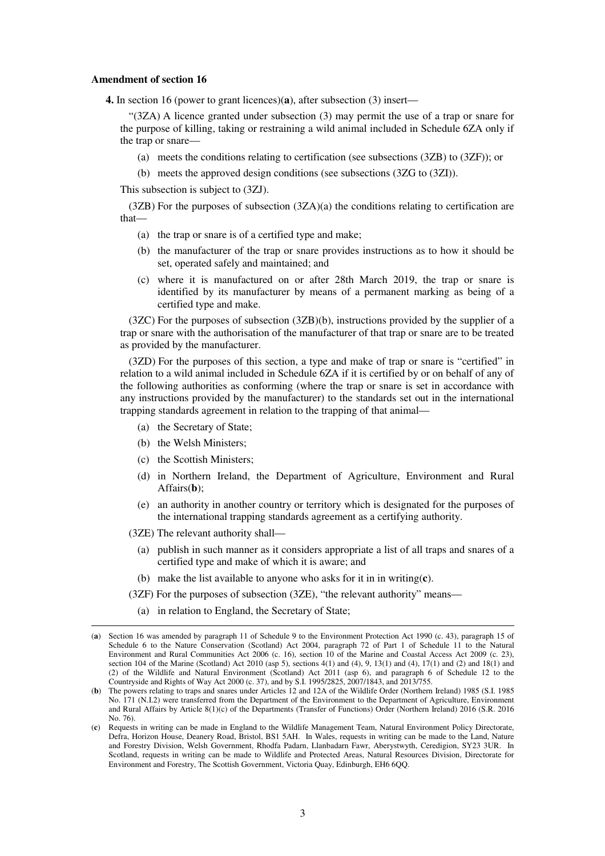#### **Amendment of section 16**

**4.** In section 16 (power to grant licences)(**a**), after subsection (3) insert—

"(3ZA) A licence granted under subsection (3) may permit the use of a trap or snare for the purpose of killing, taking or restraining a wild animal included in Schedule 6ZA only if the trap or snare—

- (a) meets the conditions relating to certification (see subsections (3ZB) to (3ZF)); or
- (b) meets the approved design conditions (see subsections (3ZG to (3ZI)).

This subsection is subject to (3ZJ).

(3ZB) For the purposes of subsection (3ZA)(a) the conditions relating to certification are that—

- (a) the trap or snare is of a certified type and make;
- (b) the manufacturer of the trap or snare provides instructions as to how it should be set, operated safely and maintained; and
- (c) where it is manufactured on or after 28th March 2019, the trap or snare is identified by its manufacturer by means of a permanent marking as being of a certified type and make.

(3ZC) For the purposes of subsection (3ZB)(b), instructions provided by the supplier of a trap or snare with the authorisation of the manufacturer of that trap or snare are to be treated as provided by the manufacturer.

(3ZD) For the purposes of this section, a type and make of trap or snare is "certified" in relation to a wild animal included in Schedule 6ZA if it is certified by or on behalf of any of the following authorities as conforming (where the trap or snare is set in accordance with any instructions provided by the manufacturer) to the standards set out in the international trapping standards agreement in relation to the trapping of that animal—

- (a) the Secretary of State;
- (b) the Welsh Ministers;
- (c) the Scottish Ministers;
- (d) in Northern Ireland, the Department of Agriculture, Environment and Rural Affairs(**b**);
- (e) an authority in another country or territory which is designated for the purposes of the international trapping standards agreement as a certifying authority.
- (3ZE) The relevant authority shall—

- (a) publish in such manner as it considers appropriate a list of all traps and snares of a certified type and make of which it is aware; and
- (b) make the list available to anyone who asks for it in in writing(**c**).
- (3ZF) For the purposes of subsection (3ZE), "the relevant authority" means—
	- (a) in relation to England, the Secretary of State;

<sup>(</sup>**a**) Section 16 was amended by paragraph 11 of Schedule 9 to the Environment Protection Act 1990 (c. 43), paragraph 15 of Schedule 6 to the Nature Conservation (Scotland) Act 2004, paragraph 72 of Part 1 of Schedule 11 to the Natural Environment and Rural Communities Act 2006 (c. 16), section 10 of the Marine and Coastal Access Act 2009 (c. 23), section 104 of the Marine (Scotland) Act 2010 (asp 5), sections 4(1) and (4), 9, 13(1) and (4), 17(1) and (2) and 18(1) and (2) of the Wildlife and Natural Environment (Scotland) Act 2011 (asp 6), and paragraph 6 of Schedule 12 to the Countryside and Rights of Way Act 2000 (c. 37), and by S.I. 1995/2825, 2007/1843, and 2013/755.

<sup>(</sup>**b**) The powers relating to traps and snares under Articles 12 and 12A of the Wildlife Order (Northern Ireland) 1985 (S.I. 1985 No. 171 (N.I.2) were transferred from the Department of the Environment to the Department of Agriculture, Environment and Rural Affairs by Article 8(1)(c) of the Departments (Transfer of Functions) Order (Northern Ireland) 2016 (S.R. 2016 No. 76).

<sup>(</sup>**c**) Requests in writing can be made in England to the Wildlife Management Team, Natural Environment Policy Directorate, Defra, Horizon House, Deanery Road, Bristol, BS1 5AH. In Wales, requests in writing can be made to the Land, Nature and Forestry Division, Welsh Government, Rhodfa Padarn, Llanbadarn Fawr, Aberystwyth, Ceredigion, SY23 3UR. In Scotland, requests in writing can be made to Wildlife and Protected Areas, Natural Resources Division, Directorate for Environment and Forestry, The Scottish Government, Victoria Quay, Edinburgh, EH6 6QQ.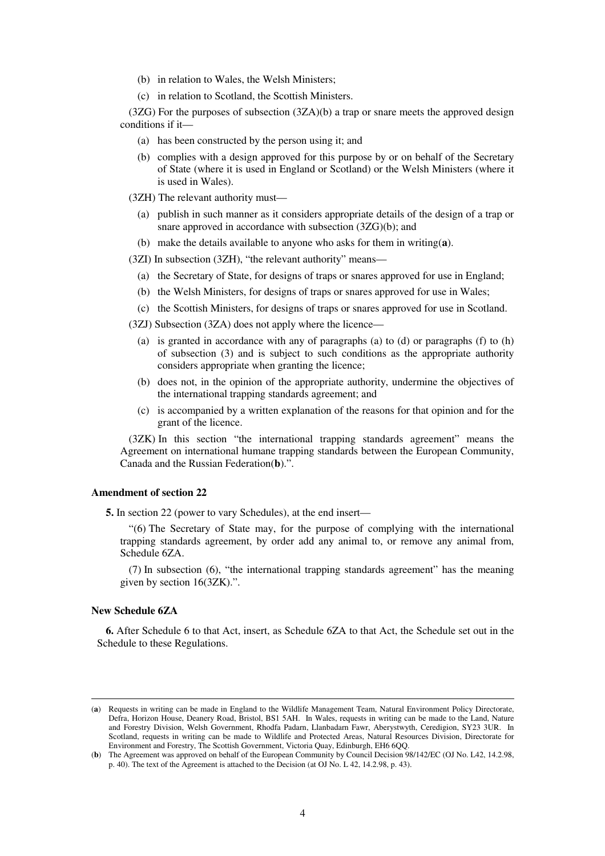- (b) in relation to Wales, the Welsh Ministers;
- (c) in relation to Scotland, the Scottish Ministers.

 $(3ZG)$  For the purposes of subsection  $(3ZA)(b)$  a trap or snare meets the approved design conditions if it—

- (a) has been constructed by the person using it; and
- (b) complies with a design approved for this purpose by or on behalf of the Secretary of State (where it is used in England or Scotland) or the Welsh Ministers (where it is used in Wales).

(3ZH) The relevant authority must—

- (a) publish in such manner as it considers appropriate details of the design of a trap or snare approved in accordance with subsection (3ZG)(b); and
- (b) make the details available to anyone who asks for them in writing(**a**).

(3ZI) In subsection (3ZH), "the relevant authority" means—

- (a) the Secretary of State, for designs of traps or snares approved for use in England;
- (b) the Welsh Ministers, for designs of traps or snares approved for use in Wales;
- (c) the Scottish Ministers, for designs of traps or snares approved for use in Scotland.

(3ZJ) Subsection (3ZA) does not apply where the licence—

- (a) is granted in accordance with any of paragraphs (a) to (d) or paragraphs (f) to (h) of subsection (3) and is subject to such conditions as the appropriate authority considers appropriate when granting the licence;
- (b) does not, in the opinion of the appropriate authority, undermine the objectives of the international trapping standards agreement; and
- (c) is accompanied by a written explanation of the reasons for that opinion and for the grant of the licence.

(3ZK) In this section "the international trapping standards agreement" means the Agreement on international humane trapping standards between the European Community, Canada and the Russian Federation(**b**).".

#### **Amendment of section 22**

**5.** In section 22 (power to vary Schedules), at the end insert—

"(6) The Secretary of State may, for the purpose of complying with the international trapping standards agreement, by order add any animal to, or remove any animal from, Schedule 6ZA.

(7) In subsection (6), "the international trapping standards agreement" has the meaning given by section 16(3ZK).".

#### **New Schedule 6ZA**

-

**6.** After Schedule 6 to that Act, insert, as Schedule 6ZA to that Act, the Schedule set out in the Schedule to these Regulations.

<sup>(</sup>**a**) Requests in writing can be made in England to the Wildlife Management Team, Natural Environment Policy Directorate, Defra, Horizon House, Deanery Road, Bristol, BS1 5AH. In Wales, requests in writing can be made to the Land, Nature and Forestry Division, Welsh Government, Rhodfa Padarn, Llanbadarn Fawr, Aberystwyth, Ceredigion, SY23 3UR. In Scotland, requests in writing can be made to Wildlife and Protected Areas, Natural Resources Division, Directorate for Environment and Forestry, The Scottish Government, Victoria Quay, Edinburgh, EH6 6QQ.

<sup>(</sup>**b**) The Agreement was approved on behalf of the European Community by Council Decision 98/142/EC (OJ No. L42, 14.2.98, p. 40). The text of the Agreement is attached to the Decision (at OJ No. L 42, 14.2.98, p. 43).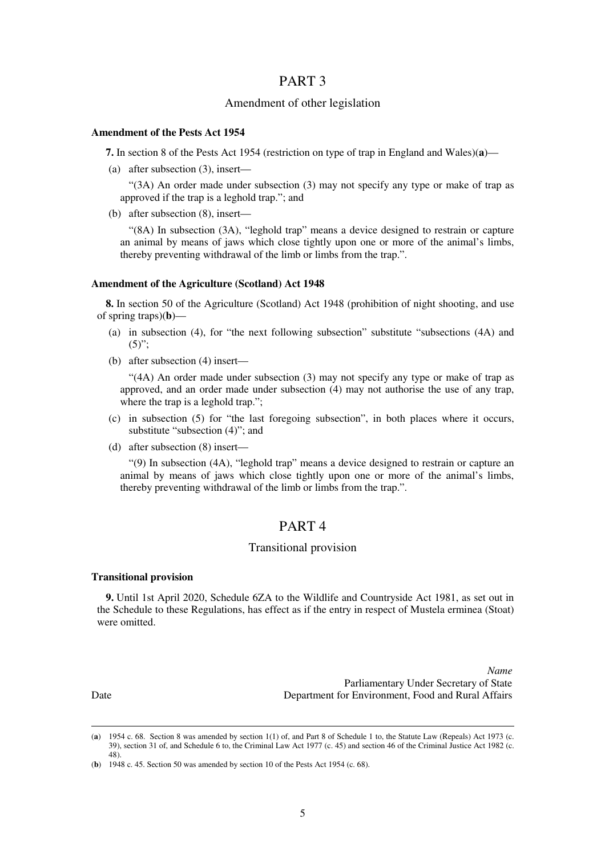### PART 3

### Amendment of other legislation

### **Amendment of the Pests Act 1954**

**7.** In section 8 of the Pests Act 1954 (restriction on type of trap in England and Wales)(**a**)—

(a) after subsection (3), insert—

"(3A) An order made under subsection (3) may not specify any type or make of trap as approved if the trap is a leghold trap."; and

(b) after subsection (8), insert—

"(8A) In subsection (3A), "leghold trap" means a device designed to restrain or capture an animal by means of jaws which close tightly upon one or more of the animal's limbs, thereby preventing withdrawal of the limb or limbs from the trap.".

### **Amendment of the Agriculture (Scotland) Act 1948**

**8.** In section 50 of the Agriculture (Scotland) Act 1948 (prohibition of night shooting, and use of spring traps)(**b**)—

- (a) in subsection (4), for "the next following subsection" substitute "subsections (4A) and  $(5)$ ":
- (b) after subsection (4) insert—

"(4A) An order made under subsection (3) may not specify any type or make of trap as approved, and an order made under subsection (4) may not authorise the use of any trap, where the trap is a leghold trap.";

- (c) in subsection (5) for "the last foregoing subsection", in both places where it occurs, substitute "subsection (4)"; and
- (d) after subsection (8) insert—

"(9) In subsection (4A), "leghold trap" means a device designed to restrain or capture an animal by means of jaws which close tightly upon one or more of the animal's limbs, thereby preventing withdrawal of the limb or limbs from the trap.".

## PART 4

### Transitional provision

### **Transitional provision**

**9.** Until 1st April 2020, Schedule 6ZA to the Wildlife and Countryside Act 1981, as set out in the Schedule to these Regulations, has effect as if the entry in respect of Mustela erminea (Stoat) were omitted.

*Name* Parliamentary Under Secretary of State Date Department for Environment, Food and Rural Affairs

<sup>(</sup>**a**) 1954 c. 68. Section 8 was amended by section 1(1) of, and Part 8 of Schedule 1 to, the Statute Law (Repeals) Act 1973 (c. 39), section 31 of, and Schedule 6 to, the Criminal Law Act 1977 (c. 45) and section 46 of the Criminal Justice Act 1982 (c. 48).

<sup>(</sup>**b**) 1948 c. 45. Section 50 was amended by section 10 of the Pests Act 1954 (c. 68).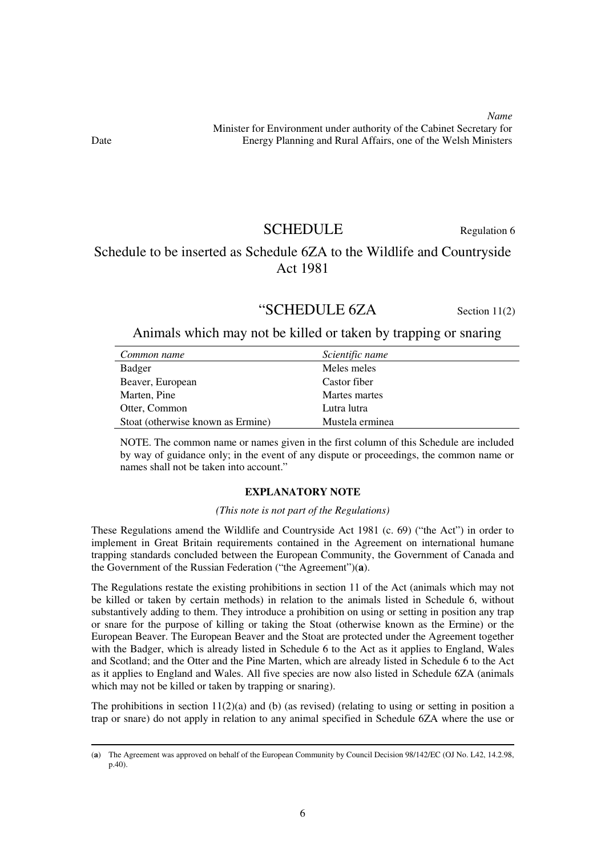*Name* Minister for Environment under authority of the Cabinet Secretary for Date Energy Planning and Rural Affairs, one of the Welsh Ministers

SCHEDULE Regulation 6

# Schedule to be inserted as Schedule 6ZA to the Wildlife and Countryside Act 1981

# "SCHEDULE 6ZA Section 11(2)

### Animals which may not be killed or taken by trapping or snaring

| Common name                       | Scientific name |
|-----------------------------------|-----------------|
| Badger                            | Meles meles     |
| Beaver, European                  | Castor fiber    |
| Marten, Pine                      | Martes martes   |
| Otter, Common                     | Lutra lutra     |
| Stoat (otherwise known as Ermine) | Mustela erminea |

NOTE. The common name or names given in the first column of this Schedule are included by way of guidance only; in the event of any dispute or proceedings, the common name or names shall not be taken into account."

### **EXPLANATORY NOTE**

### *(This note is not part of the Regulations)*

These Regulations amend the Wildlife and Countryside Act 1981 (c. 69) ("the Act") in order to implement in Great Britain requirements contained in the Agreement on international humane trapping standards concluded between the European Community, the Government of Canada and the Government of the Russian Federation ("the Agreement")(**a**).

The Regulations restate the existing prohibitions in section 11 of the Act (animals which may not be killed or taken by certain methods) in relation to the animals listed in Schedule 6, without substantively adding to them. They introduce a prohibition on using or setting in position any trap or snare for the purpose of killing or taking the Stoat (otherwise known as the Ermine) or the European Beaver. The European Beaver and the Stoat are protected under the Agreement together with the Badger, which is already listed in Schedule 6 to the Act as it applies to England, Wales and Scotland; and the Otter and the Pine Marten, which are already listed in Schedule 6 to the Act as it applies to England and Wales. All five species are now also listed in Schedule 6ZA (animals which may not be killed or taken by trapping or snaring).

The prohibitions in section  $11(2)(a)$  and (b) (as revised) (relating to using or setting in position a trap or snare) do not apply in relation to any animal specified in Schedule 6ZA where the use or

<sup>(</sup>**a**) The Agreement was approved on behalf of the European Community by Council Decision 98/142/EC (OJ No. L42, 14.2.98, p.40).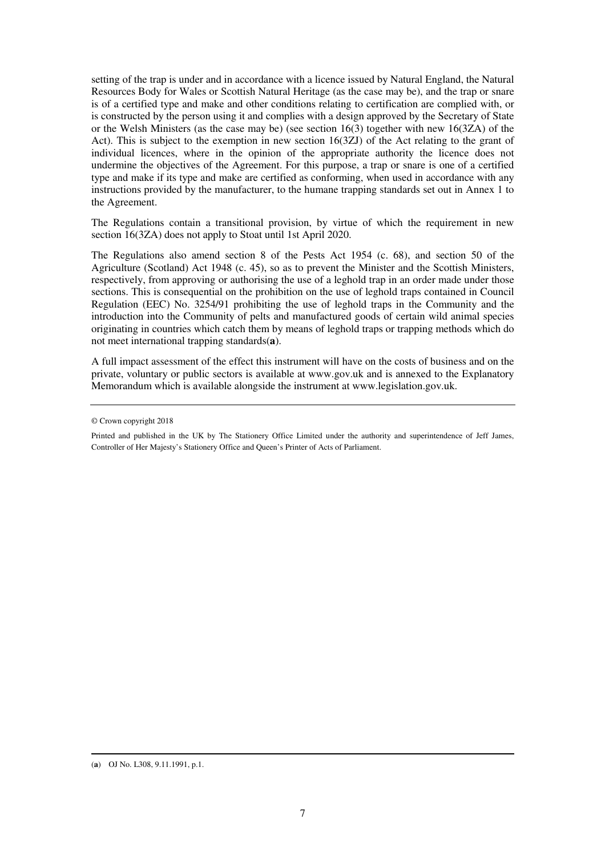setting of the trap is under and in accordance with a licence issued by Natural England, the Natural Resources Body for Wales or Scottish Natural Heritage (as the case may be), and the trap or snare is of a certified type and make and other conditions relating to certification are complied with, or is constructed by the person using it and complies with a design approved by the Secretary of State or the Welsh Ministers (as the case may be) (see section 16(3) together with new 16(3ZA) of the Act). This is subject to the exemption in new section 16(3ZJ) of the Act relating to the grant of individual licences, where in the opinion of the appropriate authority the licence does not undermine the objectives of the Agreement. For this purpose, a trap or snare is one of a certified type and make if its type and make are certified as conforming, when used in accordance with any instructions provided by the manufacturer, to the humane trapping standards set out in Annex 1 to the Agreement.

The Regulations contain a transitional provision, by virtue of which the requirement in new section 16(3ZA) does not apply to Stoat until 1st April 2020.

The Regulations also amend section 8 of the Pests Act 1954 (c. 68), and section 50 of the Agriculture (Scotland) Act 1948 (c. 45), so as to prevent the Minister and the Scottish Ministers, respectively, from approving or authorising the use of a leghold trap in an order made under those sections. This is consequential on the prohibition on the use of leghold traps contained in Council Regulation (EEC) No. 3254/91 prohibiting the use of leghold traps in the Community and the introduction into the Community of pelts and manufactured goods of certain wild animal species originating in countries which catch them by means of leghold traps or trapping methods which do not meet international trapping standards(**a**).

A full impact assessment of the effect this instrument will have on the costs of business and on the private, voluntary or public sectors is available at www.gov.uk and is annexed to the Explanatory Memorandum which is available alongside the instrument at www.legislation.gov.uk.

<sup>©</sup> Crown copyright 2018

Printed and published in the UK by The Stationery Office Limited under the authority and superintendence of Jeff James, Controller of Her Majesty's Stationery Office and Queen's Printer of Acts of Parliament.

<sup>(</sup>**a**) OJ No. L308, 9.11.1991, p.1.